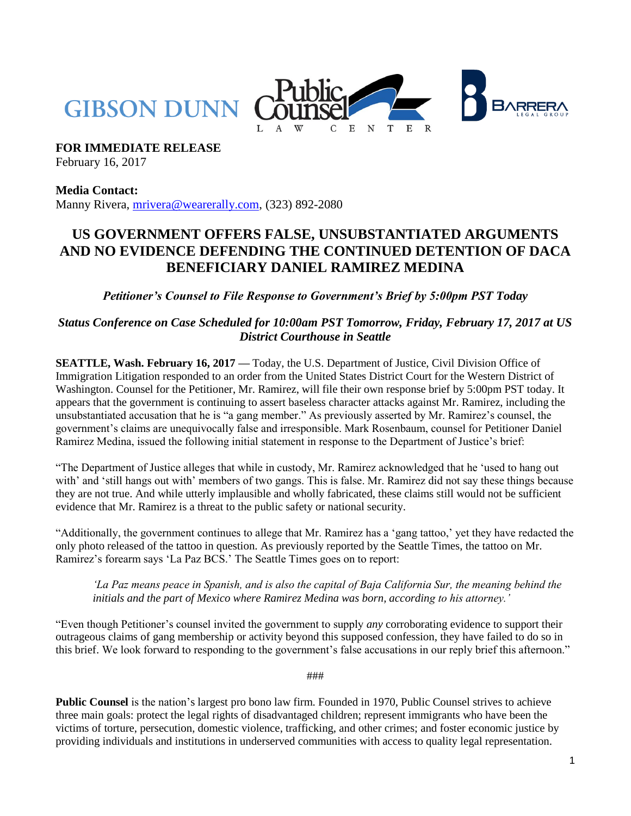

**FOR IMMEDIATE RELEASE**

February 16, 2017

**Media Contact:** Manny Rivera, [mrivera@wearerally.com,](mailto:mrivera@wearerally.com) (323) 892-2080

## **US GOVERNMENT OFFERS FALSE, UNSUBSTANTIATED ARGUMENTS AND NO EVIDENCE DEFENDING THE CONTINUED DETENTION OF DACA BENEFICIARY DANIEL RAMIREZ MEDINA**

*Petitioner's Counsel to File Response to Government's Brief by 5:00pm PST Today*

*Status Conference on Case Scheduled for 10:00am PST Tomorrow, Friday, February 17, 2017 at US District Courthouse in Seattle*

**SEATTLE, Wash. February 16, 2017 —** Today, the U.S. Department of Justice, Civil Division Office of Immigration Litigation responded to an order from the United States District Court for the Western District of Washington. Counsel for the Petitioner, Mr. Ramirez, will file their own response brief by 5:00pm PST today. It appears that the government is continuing to assert baseless character attacks against Mr. Ramirez, including the unsubstantiated accusation that he is "a gang member." As previously asserted by Mr. Ramirez's counsel, the government's claims are unequivocally false and irresponsible. Mark Rosenbaum, counsel for Petitioner Daniel Ramirez Medina, issued the following initial statement in response to the Department of Justice's brief:

"The Department of Justice alleges that while in custody, Mr. Ramirez acknowledged that he 'used to hang out with' and 'still hangs out with' members of two gangs. This is false. Mr. Ramirez did not say these things because they are not true. And while utterly implausible and wholly fabricated, these claims still would not be sufficient evidence that Mr. Ramirez is a threat to the public safety or national security.

"Additionally, the government continues to allege that Mr. Ramirez has a 'gang tattoo,' yet they have redacted the only photo released of the tattoo in question. As previously reported by the Seattle Times, the tattoo on Mr. Ramirez's forearm says 'La Paz BCS.' The Seattle Times goes on to report:

*'La Paz means peace in Spanish, and is also the capital of Baja California Sur, the meaning behind the initials and the part of Mexico where Ramirez Medina was born, according to his attorney.'*

"Even though Petitioner's counsel invited the government to supply *any* corroborating evidence to support their outrageous claims of gang membership or activity beyond this supposed confession, they have failed to do so in this brief. We look forward to responding to the government's false accusations in our reply brief this afternoon."

###

**Public Counsel** is the nation's largest pro bono law firm. Founded in 1970, Public Counsel strives to achieve three main goals: protect the legal rights of disadvantaged children; represent immigrants who have been the victims of torture, persecution, domestic violence, trafficking, and other crimes; and foster economic justice by providing individuals and institutions in underserved communities with access to quality legal representation.